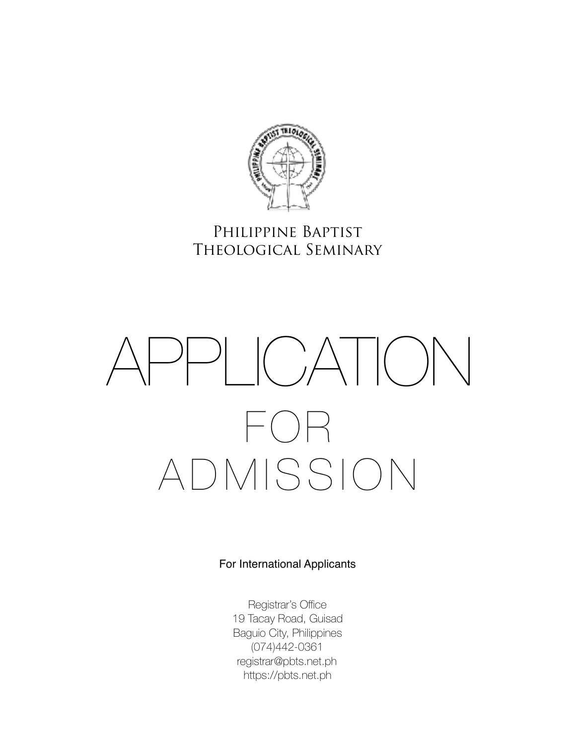

# Philippine Baptist Theological Seminary

# APPLICATION  $\vdash$  ( )  $\vdash$ ADMISSION

### For International Applicants

Registrar's Office 19 Tacay Road, Guisad Baguio City, Philippines (074)442-0361 registrar@pbts.net.ph <https://pbts.net.ph>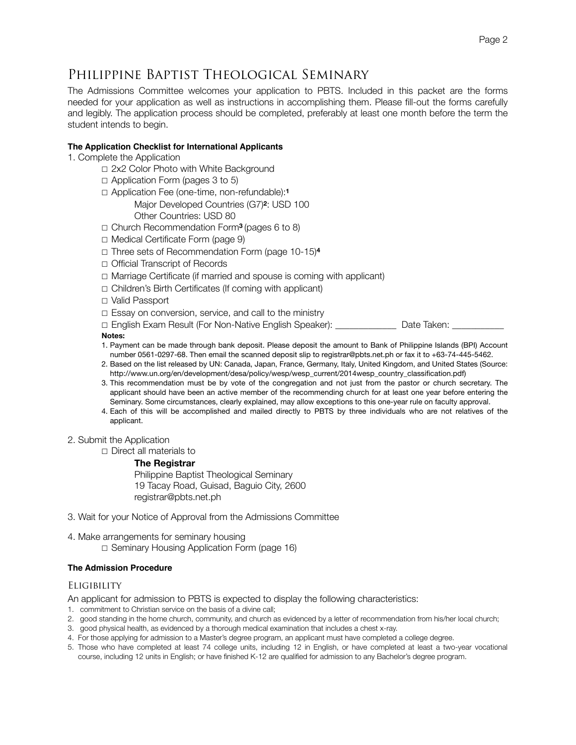# Philippine Baptist Theological Seminary

The Admissions Committee welcomes your application to PBTS. Included in this packet are the forms needed for your application as well as instructions in accomplishing them. Please fill-out the forms carefully and legibly. The application process should be completed, preferably at least one month before the term the student intends to begin.

#### **The Application Checklist for International Applicants**

1. Complete the Application

- ☐ 2x2 Color Photo with White Background
- ☐ Application Form (pages 3 to 5)
- ☐ Application Fee (one-time, non-refundable):**<sup>1</sup>**

 Major Developed Countries (G7)**2**: USD 100 Other Countries: USD 80

- ☐ Church Recommendation Form**3** (pages 6 to 8)
- ☐ Medical Certificate Form (page 9)
- ☐ Three sets of Recommendation Form (page 10-15)**<sup>4</sup>**
- ☐ Official Transcript of Records
- ☐ Marriage Certificate (if married and spouse is coming with applicant)
- ☐ Children's Birth Certificates (If coming with applicant)
- ☐ Valid Passport
- ☐ Essay on conversion, service, and call to the ministry

□ English Exam Result (For Non-Native English Speaker): <br>□ Date Taken: **Notes:** 

- 1. Payment can be made through bank deposit. Please deposit the amount to Bank of Philippine Islands (BPI) Account number 0561-0297-68. Then email the scanned deposit slip to registrar@pbts.net.ph or fax it to +63-74-445-5462.
- 2. Based on the list released by UN: Canada, Japan, France, Germany, Italy, United Kingdom, and United States (Source: http://www.un.org/en/development/desa/policy/wesp/wesp\_current/2014wesp\_country\_classification.pdf)
- 3. This recommendation must be by vote of the congregation and not just from the pastor or church secretary. The applicant should have been an active member of the recommending church for at least one year before entering the Seminary. Some circumstances, clearly explained, may allow exceptions to this one-year rule on faculty approval.
- 4. Each of this will be accomplished and mailed directly to PBTS by three individuals who are not relatives of the applicant.

#### 2. Submit the Application

☐ Direct all materials to

#### **The Registrar**

 Philippine Baptist Theological Seminary 19 Tacay Road, Guisad, Baguio City, 2600 registrar@pbts.net.ph

- 3. Wait for your Notice of Approval from the Admissions Committee
- 4. Make arrangements for seminary housing
	- ☐ Seminary Housing Application Form (page 16)

#### **The Admission Procedure**

#### **ELIGIBILITY**

An applicant for admission to PBTS is expected to display the following characteristics:

- 1. commitment to Christian service on the basis of a divine call;
- 2. good standing in the home church, community, and church as evidenced by a letter of recommendation from his/her local church;
- 3. good physical health, as evidenced by a thorough medical examination that includes a chest x-ray.
- 4. For those applying for admission to a Master's degree program, an applicant must have completed a college degree.
- 5. Those who have completed at least 74 college units, including 12 in English, or have completed at least a two-year vocational course, including 12 units in English; or have finished K-12 are qualified for admission to any Bachelor's degree program.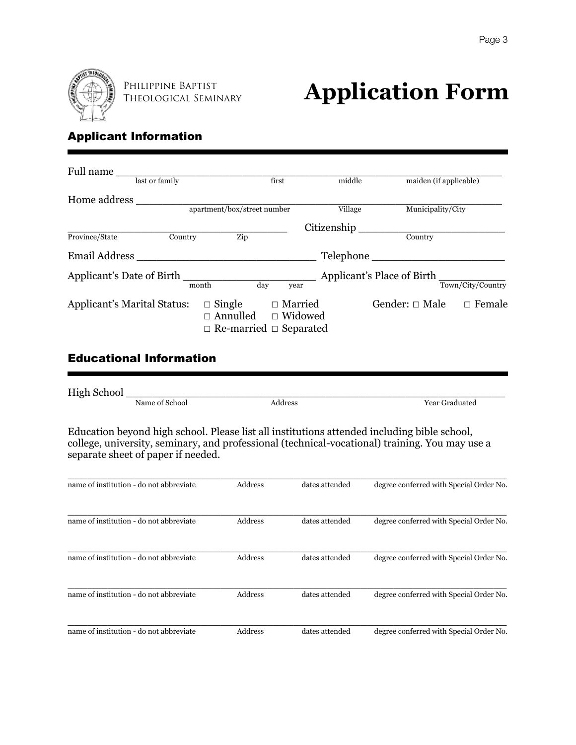

Philippine Baptist

# **THEOLOGICAL SEMINARY Application Form**

# Applicant Information

| Full name                          |         |                                                                        |                                  |             |                            |                   |
|------------------------------------|---------|------------------------------------------------------------------------|----------------------------------|-------------|----------------------------|-------------------|
| last or family                     |         |                                                                        | first                            | middle      | maiden (if applicable)     |                   |
| Home address                       |         |                                                                        |                                  |             |                            |                   |
|                                    |         | apartment/box/street number                                            |                                  | Village     | Municipality/City          |                   |
|                                    |         |                                                                        |                                  | Citizenship |                            |                   |
| Province/State                     | Country | Zip                                                                    |                                  |             | Country                    |                   |
| <b>Email Address</b>               |         |                                                                        |                                  |             | Telephone                  |                   |
| Applicant's Date of Birth          | month   | day                                                                    | year                             |             | Applicant's Place of Birth | Town/City/Country |
| <b>Applicant's Marital Status:</b> |         | $\Box$ Single<br>$\Box$ Annulled<br>$\Box$ Re-married $\Box$ Separated | $\Box$ Married<br>$\Box$ Widowed |             | Gender: $\Box$ Male        | $\Box$ Female     |

# Educational Information

| <b>High School</b> |                |         |                |
|--------------------|----------------|---------|----------------|
|                    | Name of School | Address | Year Graduated |

Education beyond high school. Please list all institutions attended including bible school, college, university, seminary, and professional (technical-vocational) training. You may use a separate sheet of paper if needed.

| name of institution - do not abbreviate | Address | dates attended | degree conferred with Special Order No. |
|-----------------------------------------|---------|----------------|-----------------------------------------|
| name of institution - do not abbreviate | Address | dates attended | degree conferred with Special Order No. |
| name of institution - do not abbreviate | Address | dates attended | degree conferred with Special Order No. |
| name of institution - do not abbreviate | Address | dates attended | degree conferred with Special Order No. |
| name of institution - do not abbreviate | Address | dates attended | degree conferred with Special Order No. |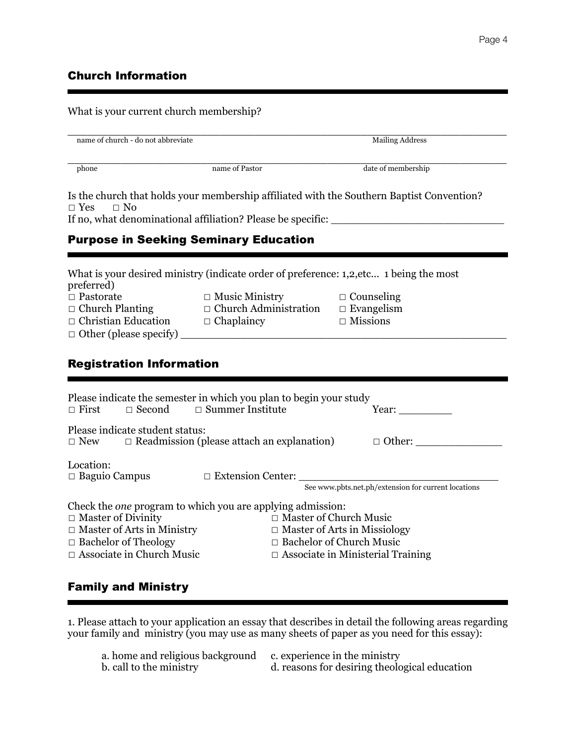# Church Information

What is your current church membership?

| name of church - do not abbreviate                                                            |                                                                                               | <b>Mailing Address</b>                                                                                                             |  |  |
|-----------------------------------------------------------------------------------------------|-----------------------------------------------------------------------------------------------|------------------------------------------------------------------------------------------------------------------------------------|--|--|
| phone                                                                                         | name of Pastor                                                                                | date of membership                                                                                                                 |  |  |
| $\Box$ Yes<br>$\Box$ No                                                                       |                                                                                               | Is the church that holds your membership affiliated with the Southern Baptist Convention?                                          |  |  |
|                                                                                               |                                                                                               |                                                                                                                                    |  |  |
|                                                                                               | <b>Purpose in Seeking Seminary Education</b>                                                  |                                                                                                                                    |  |  |
|                                                                                               |                                                                                               |                                                                                                                                    |  |  |
| preferred)                                                                                    | What is your desired ministry (indicate order of preference: 1,2, etc 1 being the most        |                                                                                                                                    |  |  |
| $\Box$ Pastorate                                                                              | $\Box$ Music Ministry                                                                         | $\Box$ Counseling                                                                                                                  |  |  |
|                                                                                               | $\Box$ Church Planting $\Box$ Church Administration                                           | $\Box$ Evangelism                                                                                                                  |  |  |
|                                                                                               | $\Box$ Christian Education $\Box$ Chaplaincy                                                  | $\Box$ Missions                                                                                                                    |  |  |
|                                                                                               |                                                                                               |                                                                                                                                    |  |  |
|                                                                                               |                                                                                               |                                                                                                                                    |  |  |
| <b>Registration Information</b>                                                               |                                                                                               |                                                                                                                                    |  |  |
| $\Box$ First<br>$\Box$ Second                                                                 | Please indicate the semester in which you plan to begin your study<br>$\Box$ Summer Institute | Year: $\qquad \qquad$                                                                                                              |  |  |
| Please indicate student status:<br>$\Box$ New                                                 |                                                                                               |                                                                                                                                    |  |  |
| Location:<br>$\Box$ Baguio Campus                                                             |                                                                                               |                                                                                                                                    |  |  |
|                                                                                               |                                                                                               | $\square\text{ Extension Center:}\xspace{3mm} \underline{\hspace{2mm}}\text{See www.pbts.net.php/extension for current locations}$ |  |  |
|                                                                                               | Check the <i>one</i> program to which you are applying admission:                             | $\Box$ Master of Church Music                                                                                                      |  |  |
|                                                                                               |                                                                                               | $\Box$ Master of Arts in Missiology                                                                                                |  |  |
| $\Box$ Master of Divinity<br>$\Box$ Master of Arts in Ministry<br>$\Box$ Bachelor of Theology |                                                                                               | $\Box$ Bachelor of Church Music                                                                                                    |  |  |

1. Please attach to your application an essay that describes in detail the following areas regarding your family and ministry (you may use as many sheets of paper as you need for this essay):

| a. home and religious background c. experience in the ministry |                                               |
|----------------------------------------------------------------|-----------------------------------------------|
| b. call to the ministry                                        | d. reasons for desiring theological education |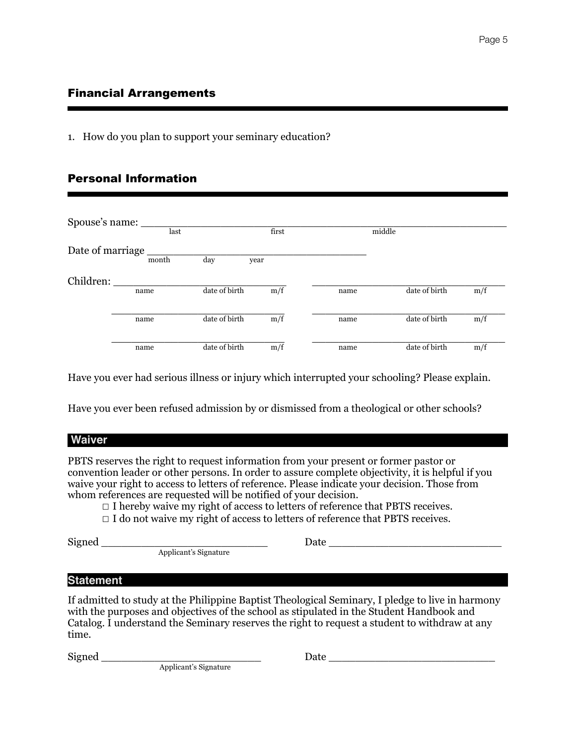### Financial Arrangements

1. How do you plan to support your seminary education?

### Personal Information

| Spouse's name:   |       |               |       |      |               |     |
|------------------|-------|---------------|-------|------|---------------|-----|
|                  | last  |               | first |      | middle        |     |
| Date of marriage |       |               |       |      |               |     |
|                  | month | day           | year  |      |               |     |
| Children:        |       |               |       |      |               |     |
|                  | name  | date of birth | m/f   | name | date of birth | m/f |
|                  |       |               |       |      |               |     |
|                  | name  | date of birth | m/f   | name | date of birth | m/f |
|                  |       |               |       |      |               |     |
|                  | name  | date of birth | m/f   | name | date of birth | m/f |

Have you ever had serious illness or injury which interrupted your schooling? Please explain.

Have you ever been refused admission by or dismissed from a theological or other schools?

#### **Waiver**

PBTS reserves the right to request information from your present or former pastor or convention leader or other persons. In order to assure complete objectivity, it is helpful if you waive your right to access to letters of reference. Please indicate your decision. Those from whom references are requested will be notified of your decision.

☐ I hereby waive my right of access to letters of reference that PBTS receives.

☐ I do not waive my right of access to letters of reference that PBTS receives.

 $\text{Single} \color{red} \texttt{Signed} \color{red} \texttt{[1]} \color{black} \texttt{[2]} \color{black} \texttt{[3]} \color{black} \texttt{[4]} \color{black} \texttt{[5]} \color{black} \texttt{[6]} \color{black} \texttt{[6]} \color{black} \texttt{[6]} \color{black} \texttt{[6]} \color{black} \texttt{[6]} \color{black} \texttt{[6]} \color{black} \texttt{[6]} \color{black} \texttt{[6]} \color{black} \texttt{[7]} \color{black} \texttt{[8]} \color{black} \texttt{[6]} \color{black} \texttt{[7$ 

#### **Statement**

If admitted to study at the Philippine Baptist Theological Seminary, I pledge to live in harmony with the purposes and objectives of the school as stipulated in the Student Handbook and Catalog. I understand the Seminary reserves the right to request a student to withdraw at any time.

Applicant's Signature

Applicant's Signature

Signed \_\_\_\_\_\_\_\_\_\_\_\_\_\_\_\_\_\_\_\_\_\_\_\_ Date \_\_\_\_\_\_\_\_\_\_\_\_\_\_\_\_\_\_\_\_\_\_\_\_\_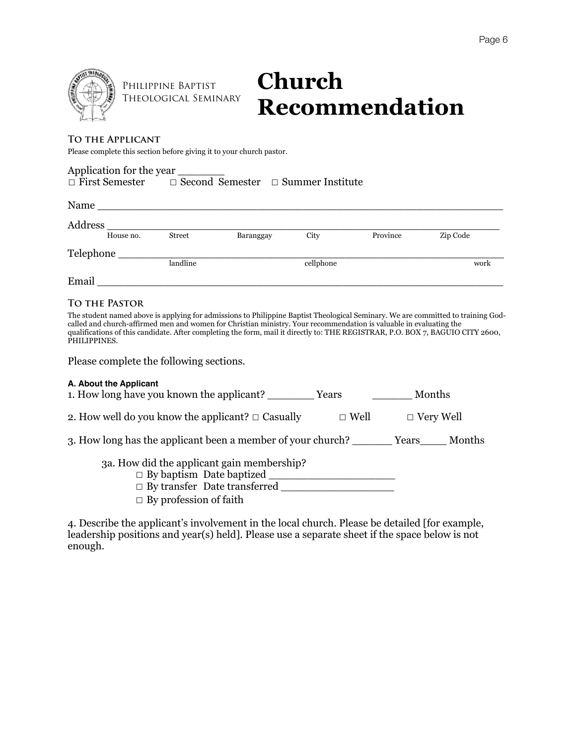

Philippine Baptist Theological Seminary

# **Church Recommendation**

#### **To the Applicant**

Please complete this section before giving it to your church pastor.

Application for the year ☐ First Semester ☐ Second Semester ☐ Summer Institute

| Name      |               |           |           |          |          |
|-----------|---------------|-----------|-----------|----------|----------|
| Address   |               |           |           |          |          |
| House no. | <b>Street</b> | Baranggay | City      | Province | Zip Code |
| Telephone |               |           |           |          |          |
|           |               | landline  | cellphone |          | work     |
| Email     |               |           |           |          |          |

#### **To the Pastor**

The student named above is applying for admissions to Philippine Baptist Theological Seminary. We are committed to training Godcalled and church-affirmed men and women for Christian ministry. Your recommendation is valuable in evaluating the qualifications of this candidate. After completing the form, mail it directly to: THE REGISTRAR, P.O. BOX 7, BAGUIO CITY 2600, PHILIPPINES.

Please complete the following sections.

| A. About the Applicant<br>1. How long have you known the applicant?                                                                                   | Years       | Months           |        |
|-------------------------------------------------------------------------------------------------------------------------------------------------------|-------------|------------------|--------|
| 2. How well do you know the applicant? $\Box$ Casually                                                                                                | $\Box$ Well | $\Box$ Very Well |        |
| 3. How long has the applicant been a member of your church?                                                                                           |             | Years            | Months |
| 3a. How did the applicant gain membership?<br>$\Box$ By baptism Date baptized<br>$\Box$ By transfer Date transferred<br>$\Box$ By profession of faith |             |                  |        |

4. Describe the applicant's involvement in the local church. Please be detailed [for example, leadership positions and year(s) held]. Please use a separate sheet if the space below is not enough.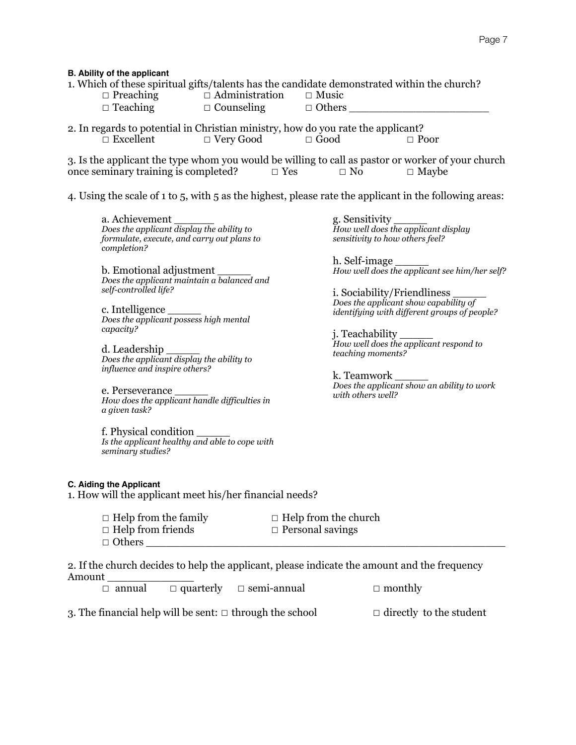#### **B. Ability of the applicant**

- ☐ Preaching ☐ Administration ☐ Music
- $\Box$  Teaching  $\Box$  Counseling  $\Box$  Others
- 2. In regards to potential in Christian ministry, how do you rate the applicant? ☐ Excellent ☐ Very Good ☐ Good ☐ Poor

3. Is the applicant the type whom you would be willing to call as pastor or worker of your church once seminary training is completed?  $□$  Yes  $□$  No  $□$  Maybe

4. Using the scale of 1 to 5, with 5 as the highest, please rate the applicant in the following areas:

a. Achievement *Does the applicant display the ability to formulate, execute, and carry out plans to completion?* 

b. Emotional adjustment *Does the applicant maintain a balanced and self-controlled life?* 

c. Intelligence *Does the applicant possess high mental capacity?* 

d. Leadership *Does the applicant display the ability to influence and inspire others?* 

e. Perseverance *How does the applicant handle difficulties in a given task?* 

f. Physical condition \_\_\_\_\_ *Is the applicant healthy and able to cope with seminary studies?* 

**C. Aiding the Applicant**

1. How will the applicant meet his/her financial needs?

| $\Box$ Help from the family | $\Box$ Help from the church |
|-----------------------------|-----------------------------|
| $\Box$ Help from friends    | $\Box$ Personal savings     |
| $\Box$ Others               |                             |

2. If the church decides to help the applicant, please indicate the amount and the frequency Amount \_\_\_\_\_\_\_\_\_\_\_\_\_

| $\Box$ quarterly<br>annual | $\Box$ semi-annual | $\Box$ monthly |
|----------------------------|--------------------|----------------|
|----------------------------|--------------------|----------------|

3. The financial help will be sent:  $\Box$  through the school  $\Box$  directly to the student

g. Sensitivity \_\_\_\_\_ *How well does the applicant display sensitivity to how others feel?* 

h. Self-image *How well does the applicant see him/her self?* 

i. Sociability/Friendliness *Does the applicant show capability of identifying with different groups of people?* 

j. Teachability \_\_\_\_\_ *How well does the applicant respond to teaching moments?* 

k. Teamwork *Does the applicant show an ability to work with others well?*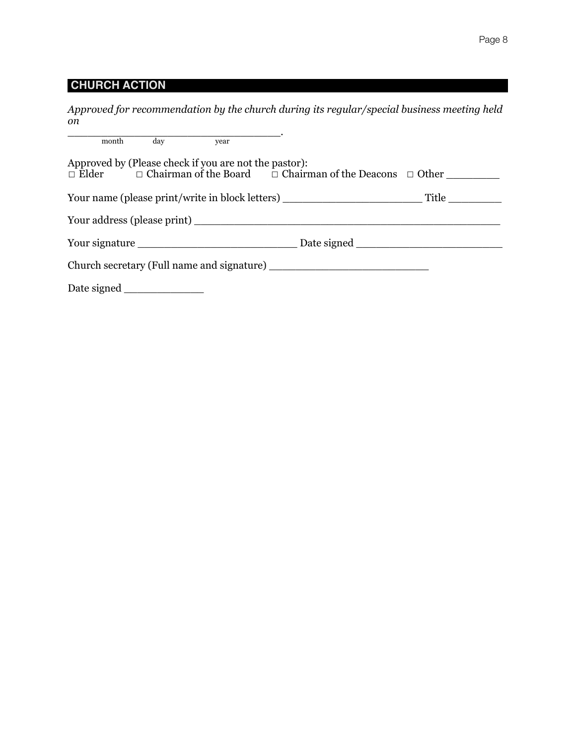# **CHURCH ACTION**

*Approved for recommendation by the church during its regular/special business meeting held on*

|  | month day year                                        |                                                                                       |  |
|--|-------------------------------------------------------|---------------------------------------------------------------------------------------|--|
|  | Approved by (Please check if you are not the pastor): | $\Box$ Elder $\Box$ Chairman of the Board $\Box$ Chairman of the Deacons $\Box$ Other |  |
|  |                                                       |                                                                                       |  |
|  |                                                       |                                                                                       |  |
|  |                                                       |                                                                                       |  |
|  |                                                       |                                                                                       |  |
|  |                                                       |                                                                                       |  |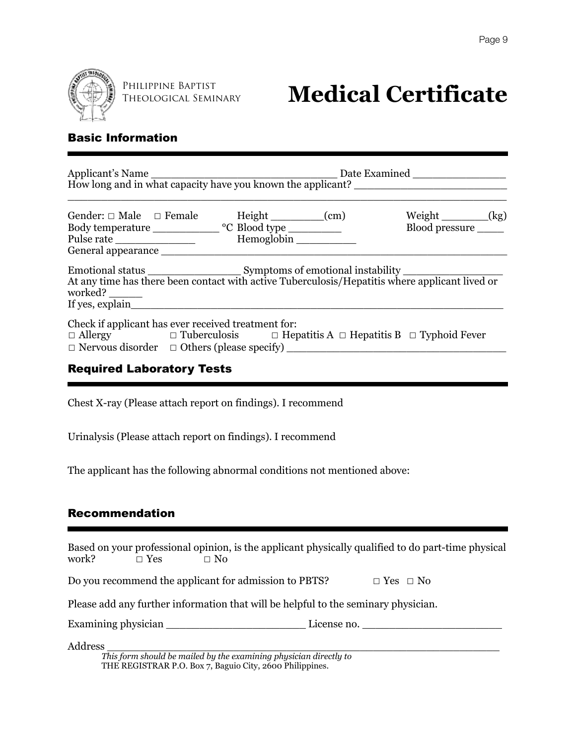

Theological Seminary

# **PHILIPPINE BAPTIST**<br>THEOLOGICAL SEMINARY Medical Certificate

# Basic Information

| Gender: $\Box$ Male $\Box$ Female<br>General appearance                                                                                              |  |  | Height (cm)<br>Hemoglobin |  | Weight $\_\_\_\_\_\_\_\_\_\_\$<br>Blood pressure |  |
|------------------------------------------------------------------------------------------------------------------------------------------------------|--|--|---------------------------|--|--------------------------------------------------|--|
| At any time has there been contact with active Tuberculosis/Hepatitis where applicant lived or<br>worked? ______<br>If yes, explain                  |  |  |                           |  |                                                  |  |
| Check if applicant has ever received treatment for:<br>$\Box$ Allergy $\Box$ Tuberculosis $\Box$ Hepatitis A $\Box$ Hepatitis B $\Box$ Typhoid Fever |  |  |                           |  |                                                  |  |

# Required Laboratory Tests

Chest X-ray (Please attach report on findings). I recommend

Urinalysis (Please attach report on findings). I recommend

The applicant has the following abnormal conditions not mentioned above:

### Recommendation

| work?   | $\Box$ Yes | $\Box$ No                                                                          | Based on your professional opinion, is the applicant physically qualified to do part-time physical |
|---------|------------|------------------------------------------------------------------------------------|----------------------------------------------------------------------------------------------------|
|         |            | Do you recommend the applicant for admission to PBTS?                              | $\Box$ Yes $\Box$ No                                                                               |
|         |            | Please add any further information that will be helpful to the seminary physician. |                                                                                                    |
|         |            | Examining physician                                                                | License no.                                                                                        |
| Address |            |                                                                                    |                                                                                                    |

*This form should be mailed by the examining physician directly to*  THE REGISTRAR P.O. Box 7, Baguio City, 2600 Philippines.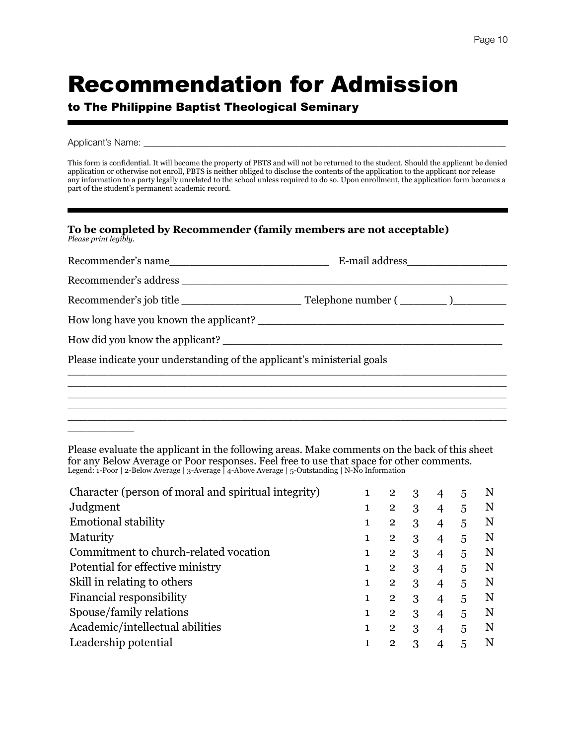# Recommendation for Admission

## to The Philippine Baptist Theological Seminary

#### Applicant's Name: \_\_\_\_\_\_\_\_\_\_\_\_\_\_\_\_\_\_\_\_\_\_\_\_\_\_\_\_\_\_\_\_\_\_\_\_\_\_\_\_\_\_\_\_\_\_\_\_\_\_\_\_\_\_\_\_\_\_\_\_\_\_\_\_\_\_\_\_\_\_\_\_\_\_\_\_\_

\_\_\_\_\_\_\_\_\_\_

This form is confidential. It will become the property of PBTS and will not be returned to the student. Should the applicant be denied application or otherwise not enroll, PBTS is neither obliged to disclose the contents of the application to the applicant nor release any information to a party legally unrelated to the school unless required to do so. Upon enrollment, the application form becomes a part of the student's permanent academic record.

|                       | To be completed by Recommender (family members are not acceptable) |
|-----------------------|--------------------------------------------------------------------|
| Please print legibly. |                                                                    |

| Recommender's name                                                      |  |
|-------------------------------------------------------------------------|--|
|                                                                         |  |
|                                                                         |  |
|                                                                         |  |
|                                                                         |  |
| Please indicate your understanding of the applicant's ministerial goals |  |
|                                                                         |  |
|                                                                         |  |
|                                                                         |  |

Please evaluate the applicant in the following areas. Make comments on the back of this sheet for any Below Average or Poor responses. Feel free to use that space for other comments. Legend: 1-Poor | 2-Below Average | 3-Average | 4-Above Average | 5-Outstanding | N-No Information

| N                                              |
|------------------------------------------------|
| N                                              |
| N                                              |
| N                                              |
| N                                              |
| N                                              |
| N                                              |
| N                                              |
| N                                              |
| N                                              |
|                                                |
| 5<br>5<br>5<br>5<br>5<br>5<br>5<br>5<br>5<br>5 |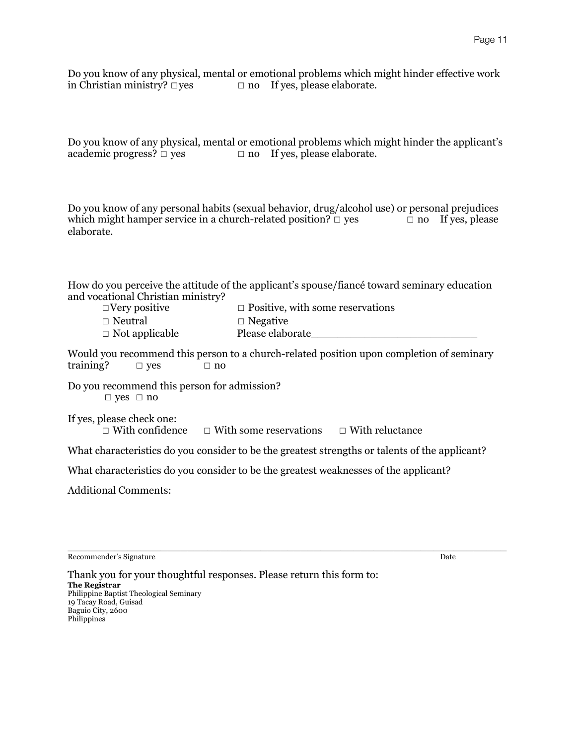Do you know of any physical, mental or emotional problems which might hinder effective work in Christian ministry?  $\Box$  res  $\Box$  no If ves, please elaborate.  $\Box$  no If yes, please elaborate.

Do you know of any physical, mental or emotional problems which might hinder the applicant's academic progress?  $\Box$  yes  $\Box$  no If yes, please elaborate.

Do you know of any personal habits (sexual behavior, drug/alcohol use) or personal prejudices which might hamper service in a church-related position?  $□$  yes  $□$  no If yes, please elaborate.

How do you perceive the attitude of the applicant's spouse/fiancé toward seminary education and vocational Christian ministry?

| $\Box$ Very positive  | $\Box$ Positive, with some reservations |
|-----------------------|-----------------------------------------|
| $\Box$ Neutral        | $\Box$ Negative                         |
| $\Box$ Not applicable | Please elaborate                        |

Would you recommend this person to a church-related position upon completion of seminary training?  $□$  yes  $□$  no

Do you recommend this person for admission? ☐ yes ☐ no

If yes, please check one: ☐ With confidence ☐ With some reservations ☐ With reluctance

What characteristics do you consider to be the greatest strengths or talents of the applicant?

What characteristics do you consider to be the greatest weaknesses of the applicant?

Additional Comments:

Recommender's Signature Date

\_\_\_\_\_\_\_\_\_\_\_\_\_\_\_\_\_\_\_\_\_\_\_\_\_\_\_\_\_\_\_\_\_\_\_\_\_\_\_\_\_\_\_\_\_\_\_\_\_\_\_\_\_\_\_\_\_\_\_\_\_\_\_\_\_\_

Thank you for your thoughtful responses. Please return this form to: **The Registrar** Philippine Baptist Theological Seminary 19 Tacay Road, Guisad Baguio City, 2600 Philippines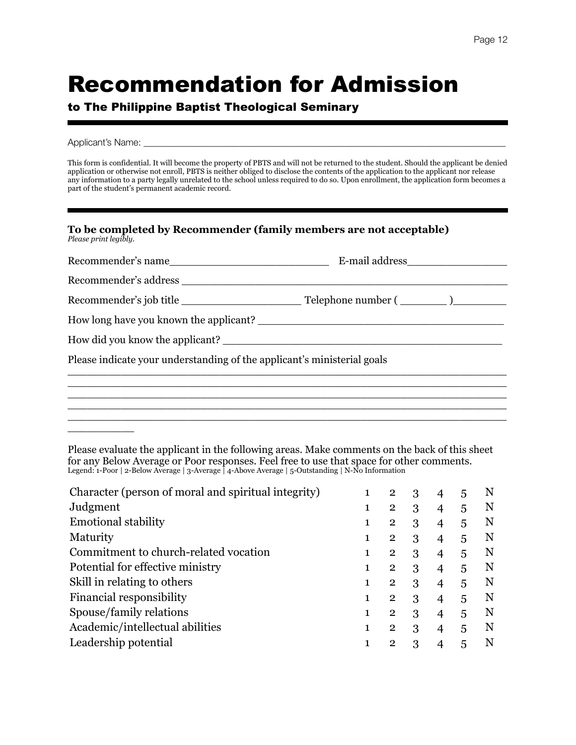# Recommendation for Admission

## to The Philippine Baptist Theological Seminary

#### Applicant's Name: \_\_\_\_\_\_\_\_\_\_\_\_\_\_\_\_\_\_\_\_\_\_\_\_\_\_\_\_\_\_\_\_\_\_\_\_\_\_\_\_\_\_\_\_\_\_\_\_\_\_\_\_\_\_\_\_\_\_\_\_\_\_\_\_\_\_\_\_\_\_\_\_\_\_\_\_\_

\_\_\_\_\_\_\_\_\_\_

This form is confidential. It will become the property of PBTS and will not be returned to the student. Should the applicant be denied application or otherwise not enroll, PBTS is neither obliged to disclose the contents of the application to the applicant nor release any information to a party legally unrelated to the school unless required to do so. Upon enrollment, the application form becomes a part of the student's permanent academic record.

| To be completed by Recommender (family members are not acceptable) |  |
|--------------------------------------------------------------------|--|
| Please print legibly.                                              |  |

| Recommender's name                                                      |  |
|-------------------------------------------------------------------------|--|
|                                                                         |  |
|                                                                         |  |
|                                                                         |  |
| How did you know the applicant?                                         |  |
| Please indicate your understanding of the applicant's ministerial goals |  |
|                                                                         |  |
|                                                                         |  |
|                                                                         |  |

Please evaluate the applicant in the following areas. Make comments on the back of this sheet for any Below Average or Poor responses. Feel free to use that space for other comments. Legend: 1-Poor | 2-Below Average | 3-Average | 4-Above Average | 5-Outstanding | N-No Information

| Character (person of moral and spiritual integrity) | 1 | $\overline{2}$ | 3 | 4                        | 5 | N |
|-----------------------------------------------------|---|----------------|---|--------------------------|---|---|
| Judgment                                            |   | $\overline{2}$ | 3 |                          | 5 | N |
| <b>Emotional stability</b>                          |   | $\mathbf{2}$   | 3 | 4                        | 5 | N |
| Maturity                                            |   | $\overline{2}$ | 3 | 4                        | 5 | N |
| Commitment to church-related vocation               |   | $\overline{2}$ | 3 |                          | 5 | N |
| Potential for effective ministry                    |   | $\mathbf{2}$   | 3 | $\overline{4}$           | 5 | N |
| Skill in relating to others                         |   | $\overline{2}$ | 3 | $\overline{4}$           | 5 | N |
| Financial responsibility                            |   | $\overline{2}$ | 3 |                          | 5 | N |
| Spouse/family relations                             |   | $\overline{2}$ | 3 | $\overline{\mathcal{A}}$ | 5 | N |
| Academic/intellectual abilities                     |   | $\overline{2}$ | 3 | $\overline{\mathcal{A}}$ | 5 | N |
| Leadership potential                                |   | $\mathbf{2}$   | 3 |                          |   | N |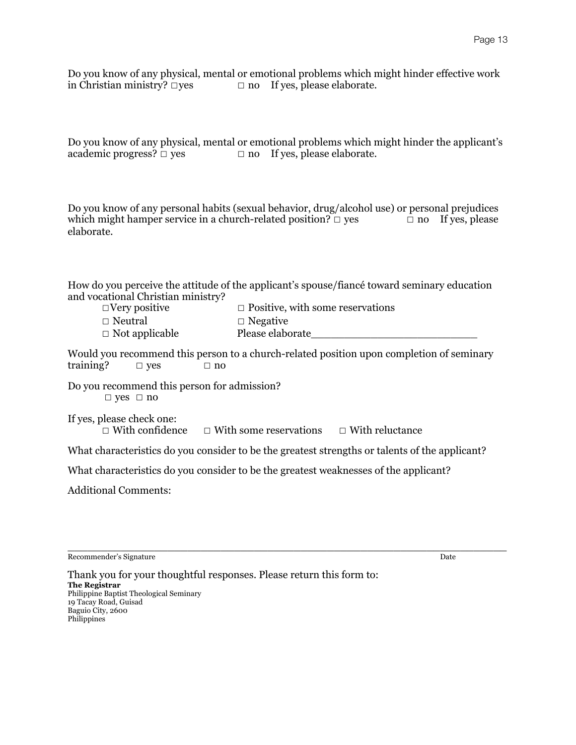Do you know of any physical, mental or emotional problems which might hinder effective work in Christian ministry?  $\Box$  res  $\Box$  no If ves, please elaborate.  $\Box$  no If yes, please elaborate.

Do you know of any physical, mental or emotional problems which might hinder the applicant's academic progress?  $\Box$  yes  $\Box$  no If yes, please elaborate.

Do you know of any personal habits (sexual behavior, drug/alcohol use) or personal prejudices which might hamper service in a church-related position?  $□$  yes  $□$  no If yes, please elaborate.

How do you perceive the attitude of the applicant's spouse/fiancé toward seminary education and vocational Christian ministry?

| $\Box$ Very positive  | $\Box$ Positive, with some reservations |
|-----------------------|-----------------------------------------|
| $\Box$ Neutral        | $\Box$ Negative                         |
| $\Box$ Not applicable | Please elaborate                        |

Would you recommend this person to a church-related position upon completion of seminary training?  $□$  yes  $□$  no

Do you recommend this person for admission? ☐ yes ☐ no

If yes, please check one: ☐ With confidence ☐ With some reservations ☐ With reluctance

What characteristics do you consider to be the greatest strengths or talents of the applicant?

What characteristics do you consider to be the greatest weaknesses of the applicant?

Additional Comments:

Recommender's Signature Date

\_\_\_\_\_\_\_\_\_\_\_\_\_\_\_\_\_\_\_\_\_\_\_\_\_\_\_\_\_\_\_\_\_\_\_\_\_\_\_\_\_\_\_\_\_\_\_\_\_\_\_\_\_\_\_\_\_\_\_\_\_\_\_\_\_\_

Thank you for your thoughtful responses. Please return this form to: **The Registrar** Philippine Baptist Theological Seminary 19 Tacay Road, Guisad Baguio City, 2600 Philippines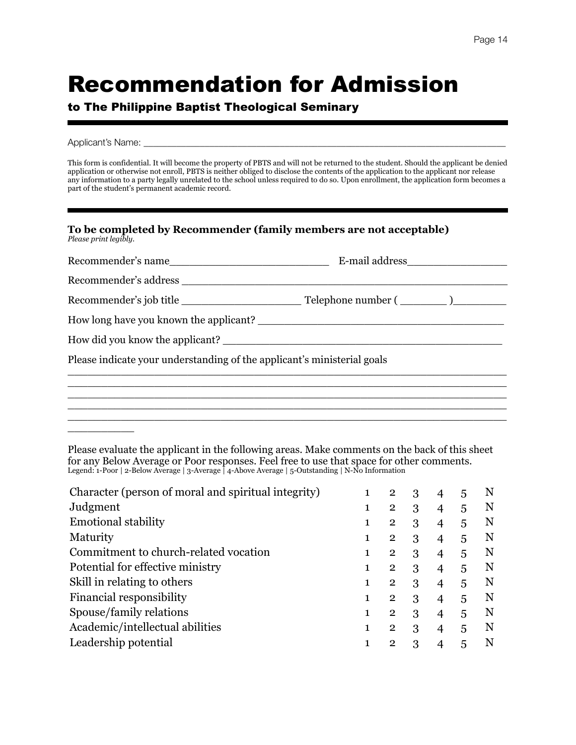# Recommendation for Admission

## to The Philippine Baptist Theological Seminary

#### Applicant's Name: \_\_\_\_\_\_

\_\_\_\_\_\_\_\_\_\_

This form is confidential. It will become the property of PBTS and will not be returned to the student. Should the applicant be denied application or otherwise not enroll, PBTS is neither obliged to disclose the contents of the application to the applicant nor release any information to a party legally unrelated to the school unless required to do so. Upon enrollment, the application form becomes a part of the student's permanent academic record.

| To be completed by Recommender (family members are not acceptable) |  |  |
|--------------------------------------------------------------------|--|--|
| Please print legibly.                                              |  |  |

| Recommender's name                                                      |  |
|-------------------------------------------------------------------------|--|
|                                                                         |  |
|                                                                         |  |
|                                                                         |  |
|                                                                         |  |
| Please indicate your understanding of the applicant's ministerial goals |  |
|                                                                         |  |
|                                                                         |  |
|                                                                         |  |

Please evaluate the applicant in the following areas. Make comments on the back of this sheet for any Below Average or Poor responses. Feel free to use that space for other comments. Legend: 1-Poor | 2-Below Average | 3-Average | 4-Above Average | 5-Outstanding | N-No Information

| Character (person of moral and spiritual integrity) | 1 | $\overline{2}$ | 3 |                          | 5 | N |
|-----------------------------------------------------|---|----------------|---|--------------------------|---|---|
| Judgment                                            |   | $\overline{2}$ | 3 |                          | 5 | N |
| <b>Emotional stability</b>                          |   | $\overline{2}$ | 3 | $\overline{4}$           | 5 | N |
| Maturity                                            | 1 | $\mathbf{2}$   | 3 | $\overline{4}$           | 5 | N |
| Commitment to church-related vocation               |   | $\overline{2}$ | 3 |                          | 5 | N |
| Potential for effective ministry                    | 1 | $\overline{2}$ | 3 | $\overline{4}$           | 5 | N |
| Skill in relating to others                         |   | $\mathbf{2}$   | 3 | $\overline{\mathcal{A}}$ | 5 | N |
| Financial responsibility                            |   | $\mathbf{2}$   | 3 |                          | 5 | N |
| Spouse/family relations                             | 1 | $\overline{2}$ | 3 | 4                        | 5 | N |
| Academic/intellectual abilities                     | 1 | $\mathbf{2}$   | 3 |                          | 5 | N |
| Leadership potential                                |   | $\mathbf{2}$   | 3 |                          | 5 |   |
|                                                     |   |                |   |                          |   |   |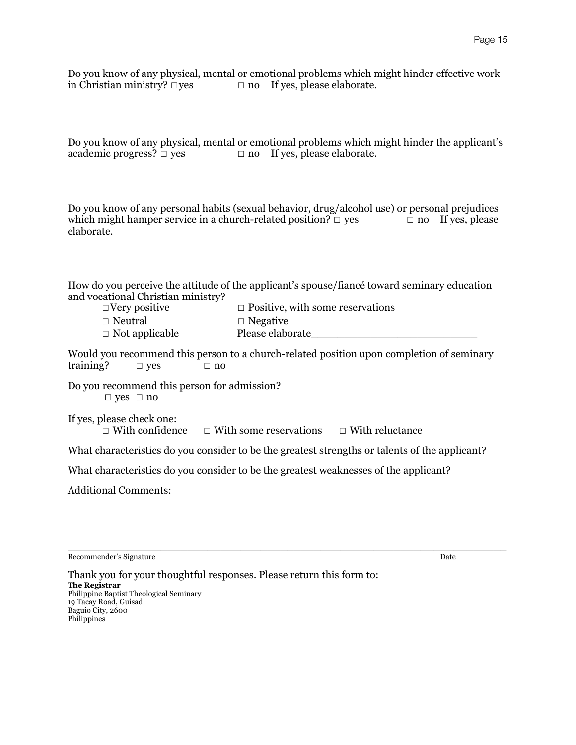Do you know of any physical, mental or emotional problems which might hinder effective work in Christian ministry?  $\Box$  res  $\Box$  no If ves, please elaborate.  $\Box$  no If yes, please elaborate.

Do you know of any physical, mental or emotional problems which might hinder the applicant's academic progress?  $\Box$  yes  $\Box$  no If yes, please elaborate.

Do you know of any personal habits (sexual behavior, drug/alcohol use) or personal prejudices which might hamper service in a church-related position?  $□$  yes  $□$  no If yes, please elaborate.

How do you perceive the attitude of the applicant's spouse/fiancé toward seminary education and vocational Christian ministry?

| $\Box$ Very positive  | $\Box$ Positive, with some reservations |
|-----------------------|-----------------------------------------|
| $\Box$ Neutral        | $\Box$ Negative                         |
| $\Box$ Not applicable | Please elaborate                        |

Would you recommend this person to a church-related position upon completion of seminary training?  $□$  yes  $□$  no

Do you recommend this person for admission? ☐ yes ☐ no

If yes, please check one: ☐ With confidence ☐ With some reservations ☐ With reluctance

What characteristics do you consider to be the greatest strengths or talents of the applicant?

What characteristics do you consider to be the greatest weaknesses of the applicant?

Additional Comments:

Recommender's Signature Date

\_\_\_\_\_\_\_\_\_\_\_\_\_\_\_\_\_\_\_\_\_\_\_\_\_\_\_\_\_\_\_\_\_\_\_\_\_\_\_\_\_\_\_\_\_\_\_\_\_\_\_\_\_\_\_\_\_\_\_\_\_\_\_\_\_\_

Thank you for your thoughtful responses. Please return this form to: **The Registrar** Philippine Baptist Theological Seminary 19 Tacay Road, Guisad Baguio City, 2600 Philippines